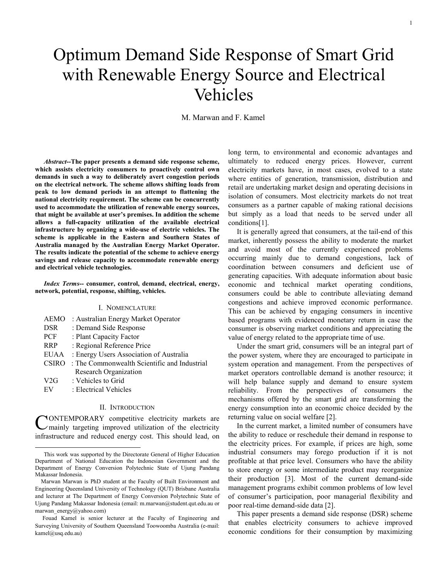# Optimum Demand Side Response of Smart Grid with Renewable Energy Source and Electrical Vehicles

M. Marwan and F. Kamel

*Abstract***--The paper presents a demand side response scheme, which assists electricity consumers to proactively control own demands in such a way to deliberately avert congestion periods on the electrical network. The scheme allows shifting loads from peak to low demand periods in an attempt to flattening the national electricity requirement. The scheme can be concurrently used to accommodate the utilization of renewable energy sources, that might be available at user's premises. In addition the scheme allows a full-capacity utilization of the available electrical infrastructure by organizing a wide-use of electric vehicles. The scheme is applicable in the Eastern and Southern States of Australia managed by the Australian Energy Market Operator. The results indicate the potential of the scheme to achieve energy savings and release capacity to accommodate renewable energy and electrical vehicle technologies.** 

*Index Terms***-- consumer, control, demand, electrical, energy, network, potential, response, shifting, vehicles.** 

#### I. NOMENCLATURE

| <b>AEMO</b>  | : Australian Energy Market Operator          |
|--------------|----------------------------------------------|
| <b>DSR</b>   | : Demand Side Response                       |
| PCF          | : Plant Capacity Factor                      |
| <b>RRP</b>   | : Regional Reference Price                   |
| <b>EUAA</b>  | : Energy Users Association of Australia      |
| <b>CSIRO</b> | : The Commonwealth Scientific and Industrial |
|              | <b>Research Organization</b>                 |
| V2G          | : Vehicles to Grid                           |
| EV           | : Electrical Vehicles                        |

# II. INTRODUCTION

ONTEMPORARY competitive electricity markets are CONTEMPORARY competitive electricity markets are<br>
Umainly targeting improved utilization of the electricity infrastructure and reduced energy cost. This should lead, on

long term, to environmental and economic advantages and ultimately to reduced energy prices. However, current electricity markets have, in most cases, evolved to a state where entities of generation, transmission, distribution and retail are undertaking market design and operating decisions in isolation of consumers. Most electricity markets do not treat consumers as a partner capable of making rational decisions but simply as a load that needs to be served under all conditions[1].

It is generally agreed that consumers, at the tail-end of this market, inherently possess the ability to moderate the market and avoid most of the currently experienced problems occurring mainly due to demand congestions, lack of coordination between consumers and deficient use of generating capacities. With adequate information about basic economic and technical market operating conditions, consumers could be able to contribute alleviating demand congestions and achieve improved economic performance. This can be achieved by engaging consumers in incentive based programs with evidenced monetary return in case the consumer is observing market conditions and appreciating the value of energy related to the appropriate time of use.

Under the smart grid, consumers will be an integral part of the power system, where they are encouraged to participate in system operation and management. From the perspectives of market operators controllable demand is another resource; it will help balance supply and demand to ensure system reliability. From the perspectives of consumers the mechanisms offered by the smart grid are transforming the energy consumption into an economic choice decided by the returning value on social welfare [2].

In the current market, a limited number of consumers have the ability to reduce or reschedule their demand in response to the electricity prices. For example, if prices are high, some industrial consumers may forego production if it is not profitable at that price level. Consumers who have the ability to store energy or some intermediate product may reorganize their production [3]. Most of the current demand-side management programs exhibit common problems of low level of consumer's participation, poor managerial flexibility and poor real-time demand-side data [2].

This paper presents a demand side response (DSR) scheme that enables electricity consumers to achieve improved economic conditions for their consumption by maximizing

This work was supported by the Directorate General of Higher Education Department of National Education the Indonesian Government and the Department of Energy Conversion Polytechnic State of Ujung Pandang Makassar Indonesia.

Marwan Marwan is PhD student at the Faculty of Built Environment and Engineering Queensland University of Technology (QUT) Brisbane Australia and lecturer at The Department of Energy Conversion Polytechnic State of Ujung Pandang Makassar Indonesia (email: m.marwan@student.qut.edu.au or marwan\_energy@yahoo.com)

Fouad Kamel is senior lecturer at the Faculty of Engineering and Surveying University of Southern Queensland Toowoomba Australia (e-mail: kamel@usq.edu.au)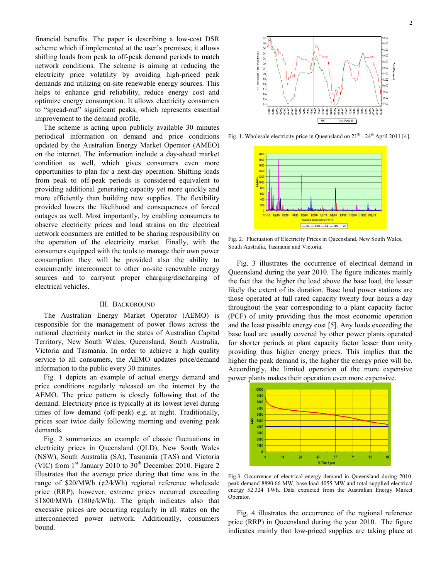financial benefits. The paper is describing a low-cost DSR scheme which if implemented at the user's premises; it allows shifting loads from peak to off-peak demand periods to match network conditions. The scheme is aiming at reducing the electricity price volatility by avoiding high-priced peak demands and utilizing on-site renewable energy sources. This helps to enhance grid reliability, reduce energy cost and optimize energy consumption. It allows electricity consumers to "spread-out" significant peaks, which represents essential improvement to the demand profile.

The scheme is acting upon publicly available 30 minutes periodical information on demand and price conditions updated by the Australian Energy Market Operator (AMEO) on the internet. The information include a day-ahead market condition as well, which gives consumers even more opportunities to plan for a next-day operation. Shifting loads from peak to off-peak periods is considered equivalent to providing additional generating capacity yet more quickly and more efficiently than building new supplies. The flexibility provided lowers the likelihood and consequences of forced outages as well. Most importantly, by enabling consumers to observe electricity prices and load strains on the electrical network consumers are entitled to be sharing responsibility on the operation of the electricity market. Finally, with the consumers equipped with the tools to manage their own power consumption they will be provided also the ability to concurrently interconnect to other on-site renewable energy sources and to carryout proper charging/discharging of electrical vehicles.

#### III. BACKGROUND

The Australian Energy Market Operator (AEMO) is responsible for the management of power flows across the national electricity market in the states of Australian Capital Territory, New South Wales, Queensland, South Australia, Victoria and Tasmania. In order to achieve a high quality service to all consumers, the AEMO updates price/demand information to the public every 30 minutes.

Fig. 1 depicts an example of actual energy demand and price conditions regularly released on the internet by the AEMO. The price pattern is closely following that of the demand. Electricity price is typically at its lowest level during times of low demand (off-peak) e.g. at night. Traditionally, prices soar twice daily following morning and evening peak demands.

Fig. 2 summarizes an example of classic fluctuations in electricity prices in Queensland (QLD), New South Wales (NSW), South Australia (SA), Tasmania (TAS) and Victoria (VIC) from  $1<sup>st</sup>$  January 2010 to 30<sup>th</sup> December 2010. Figure 2 illustrates that the average price during that time was in the range of  $$20/MWh$  ( $$2/kWh$ ) regional reference wholesale price (RRP), however, extreme prices occurred exceeding \$1800/MWh (180¢/kWh). The graph indicates also that excessive prices are occurring regularly in all states on the interconnected power network. Additionally, consumers bound.



Fig. 1. Wholesale electricity price in Queensland on  $21<sup>th</sup>$  -  $24<sup>th</sup>$  April 2011 [4].



Fig. 2. Fluctuation of Electricity Prices in Queensland, New South Wales, South Australia, Tasmania and Victoria.

Fig. 3 illustrates the occurrence of electrical demand in Queensland during the year 2010. The figure indicates mainly the fact that the higher the load above the base load, the lesser likely the extent of its duration. Base load power stations are those operated at full rated capacity twenty four hours a day throughout the year corresponding to a plant capacity factor (PCF) of unity providing thus the most economic operation and the least possible energy cost [5]. Any loads exceeding the base load are usually covered by other power plants operated for shorter periods at plant capacity factor lesser than unity providing thus higher energy prices. This implies that the higher the peak demand is, the higher the energy price will be. Accordingly, the limited operation of the more expensive power plants makes their operation even more expensive.



Fig.3. Occurrence of electrical energy demand in Queensland during 2010. peak demand 8890.66 MW, base-load 4055 MW and total supplied electrical energy 52.324 TWh. Data extracted from the Australian Energy Market Operator.

Fig. 4 illustrates the occurrence of the regional reference price (RRP) in Queensland during the year 2010. The figure indicates mainly that low-priced supplies are taking place at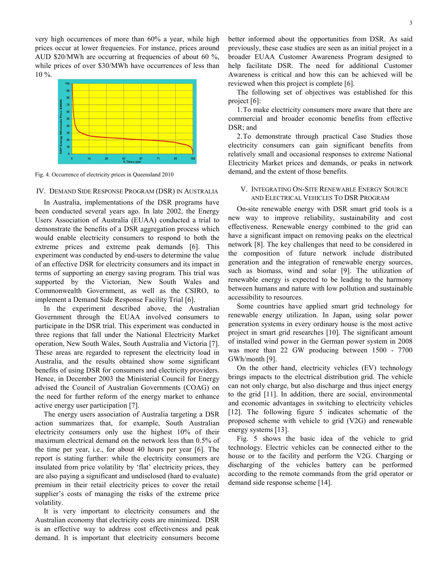very high occurrences of more than 60% a year, while high prices occur at lower frequencies. For instance, prices around AUD \$20/MWh are occurring at frequencies of about 60 %, while prices of over \$30/MWh have occurrences of less than 10 %.



Fig. 4. Occurrence of electricity prices in Queensland 2010

# IV. DEMAND SIDE RESPONSE PROGRAM (DSR) IN AUSTRALIA

In Australia, implementations of the DSR programs have been conducted several years ago. In late 2002, the Energy Users Association of Australia (EUAA) conducted a trial to demonstrate the benefits of a DSR aggregation process which would enable electricity consumers to respond to both the extreme prices and extreme peak demands [6]. This experiment was conducted by end-users to determine the value of an effective DSR for electricity consumers and its impact in terms of supporting an energy saving program. This trial was supported by the Victorian, New South Wales and Commonwealth Government, as well as the CSIRO, to implement a Demand Side Response Facility Trial [6].

In the experiment described above, the Australian Government through the EUAA involved consumers to participate in the DSR trial. This experiment was conducted in three regions that fall under the National Electricity Market operation, New South Wales, South Australia and Victoria [7]. These areas are regarded to represent the electricity load in Australia, and the results obtained show some significant benefits of using DSR for consumers and electricity providers. Hence, in December 2003 the Ministerial Council for Energy advised the Council of Australian Governments (COAG) on the need for further reform of the energy market to enhance active energy user participation [7].

The energy users association of Australia targeting a DSR action summarizes that, for example, South Australian electricity consumers only use the highest 10% of their maximum electrical demand on the network less than 0.5% of the time per year, i.e., for about 40 hours per year [6]. The report is stating further: while the electricity consumers are insulated from price volatility by 'flat' electricity prices, they are also paying a significant and undisclosed (hard to evaluate) premium in their retail electricity prices to cover the retail supplier's costs of managing the risks of the extreme price volatility.

It is very important to electricity consumers and the Australian economy that electricity costs are minimized. DSR is an effective way to address cost effectiveness and peak demand. It is important that electricity consumers become better informed about the opportunities from DSR. As said previously, these case studies are seen as an initial project in a broader EUAA Customer Awareness Program designed to help facilitate DSR. The need for additional Customer Awareness is critical and how this can be achieved will be reviewed when this project is complete [6].

The following set of objectives was established for this project [6]:

1.To make electricity consumers more aware that there are commercial and broader economic benefits from effective DSR: and

2.To demonstrate through practical Case Studies those electricity consumers can gain significant benefits from relatively small and occasional responses to extreme National Electricity Market prices and demands, or peaks in network demand, and the extent of those benefits.

# V. INTEGRATING ON-SITE RENEWABLE ENERGY SOURCE AND ELECTRICAL VEHICLES TO DSR PROGRAM

On-site renewable energy with DSR smart grid tools is a new way to improve reliability, sustainability and cost effectiveness. Renewable energy combined to the grid can have a significant impact on removing peaks on the electrical network [8]. The key challenges that need to be considered in the composition of future network include distributed generation and the integration of renewable energy sources, such as biomass, wind and solar [9]. The utilization of renewable energy is expected to be leading to the harmony between humans and nature with low pollution and sustainable accessibility to resources.

Some countries have applied smart grid technology for renewable energy utilization. In Japan, using solar power generation systems in every ordinary house is the most active project in smart grid researches [10]. The significant amount of installed wind power in the German power system in 2008 was more than 22 GW producing between 1500 - 7700 GWh/month [9].

On the other hand, electricity vehicles (EV) technology brings impacts to the electrical distribution grid. The vehicle can not only charge, but also discharge and thus inject energy to the grid [11]. In addition, there are social, environmental and economic advantages in switching to electricity vehicles [12]. The following figure 5 indicates schematic of the proposed scheme with vehicle to grid (V2G) and renewable energy systems [13].

Fig. 5 shows the basic idea of the vehicle to grid technology. Electric vehicles can be connected either to the house or to the facility and perform the V2G. Charging or discharging of the vehicles battery can be performed according to the remote commands from the grid operator or demand side response scheme [14].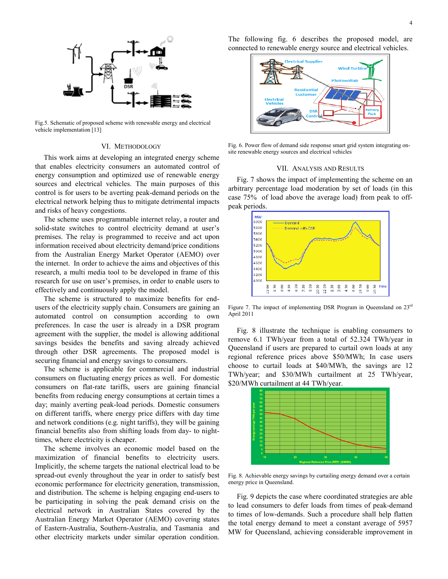

Fig.5. Schematic of proposed scheme with renewable energy and electrical vehicle implementation [13]

# VI. METHODOLOGY

This work aims at developing an integrated energy scheme that enables electricity consumers an automated control of energy consumption and optimized use of renewable energy sources and electrical vehicles. The main purposes of this control is for users to be averting peak-demand periods on the electrical network helping thus to mitigate detrimental impacts and risks of heavy congestions.

The scheme uses programmable internet relay, a router and solid-state switches to control electricity demand at user's premises. The relay is programmed to receive and act upon information received about electricity demand/price conditions from the Australian Energy Market Operator (AEMO) over the internet. In order to achieve the aims and objectives of this research, a multi media tool to be developed in frame of this research for use on user's premises, in order to enable users to effectively and continuously apply the model.

The scheme is structured to maximize benefits for endusers of the electricity supply chain. Consumers are gaining an automated control on consumption according to own preferences. In case the user is already in a DSR program agreement with the supplier, the model is allowing additional savings besides the benefits and saving already achieved through other DSR agreements. The proposed model is securing financial and energy savings to consumers.

The scheme is applicable for commercial and industrial consumers on fluctuating energy prices as well. For domestic consumers on flat-rate tariffs, users are gaining financial benefits from reducing energy consumptions at certain times a day; mainly averting peak-load periods. Domestic consumers on different tariffs, where energy price differs with day time and network conditions (e.g. night tariffs), they will be gaining financial benefits also from shifting loads from day- to nighttimes, where electricity is cheaper.

The scheme involves an economic model based on the maximization of financial benefits to electricity users. Implicitly, the scheme targets the national electrical load to be spread-out evenly throughout the year in order to satisfy best economic performance for electricity generation, transmission, and distribution. The scheme is helping engaging end-users to be participating in solving the peak demand crisis on the electrical network in Australian States covered by the Australian Energy Market Operator (AEMO) covering states of Eastern-Australia, Southern-Australia, and Tasmania and other electricity markets under similar operation condition.

The following fig. 6 describes the proposed model, are connected to renewable energy source and electrical vehicles.



Fig. 6. Power flow of demand side response smart grid system integrating onsite renewable energy sources and electrical vehicles

### VII. ANALYSIS AND RESULTS

Fig. 7 shows the impact of implementing the scheme on an arbitrary percentage load moderation by set of loads (in this case 75% of load above the average load) from peak to offpeak periods.



Figure 7. The impact of implementing DSR Program in Queensland on 23<sup>rd</sup> April 2011

Fig. 8 illustrate the technique is enabling consumers to remove 6.1 TWh/year from a total of 52.324 TWh/year in Queensland if users are prepared to curtail own loads at any regional reference prices above \$50/MWh; In case users choose to curtail loads at \$40/MWh, the savings are 12 TWh/year; and \$30/MWh curtailment at 25 TWh/year, \$20/MWh curtailment at 44 TWh/year.



Fig. 8. Achievable energy savings by curtailing energy demand over a certain energy price in Queensland.

Fig. 9 depicts the case where coordinated strategies are able to lead consumers to defer loads from times of peak-demand to times of low-demands. Such a procedure shall help flatten the total energy demand to meet a constant average of 5957 MW for Queensland, achieving considerable improvement in